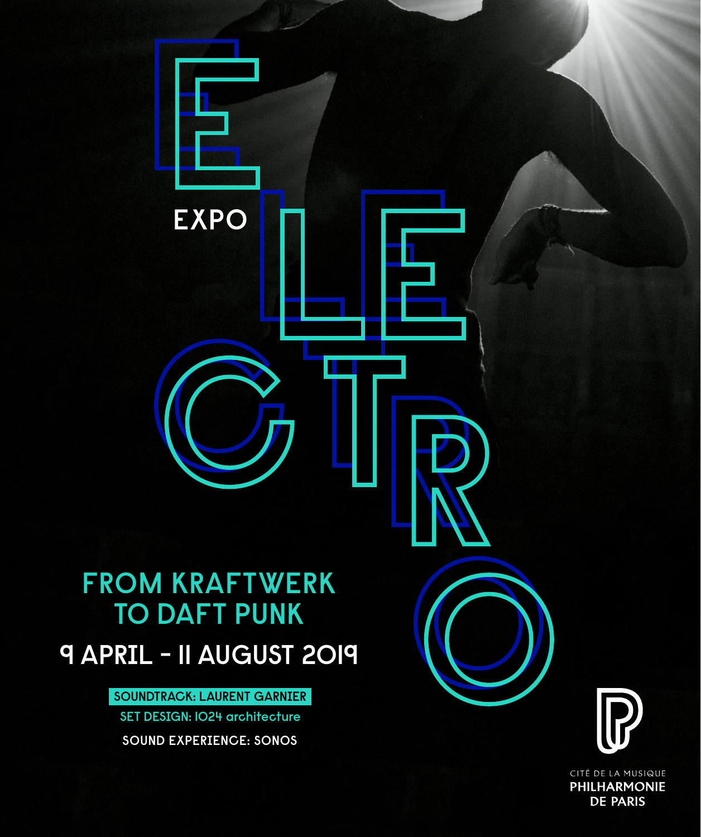

CITÉ DE LA MUSIQUE **PHILHARMONIE DE PARIS**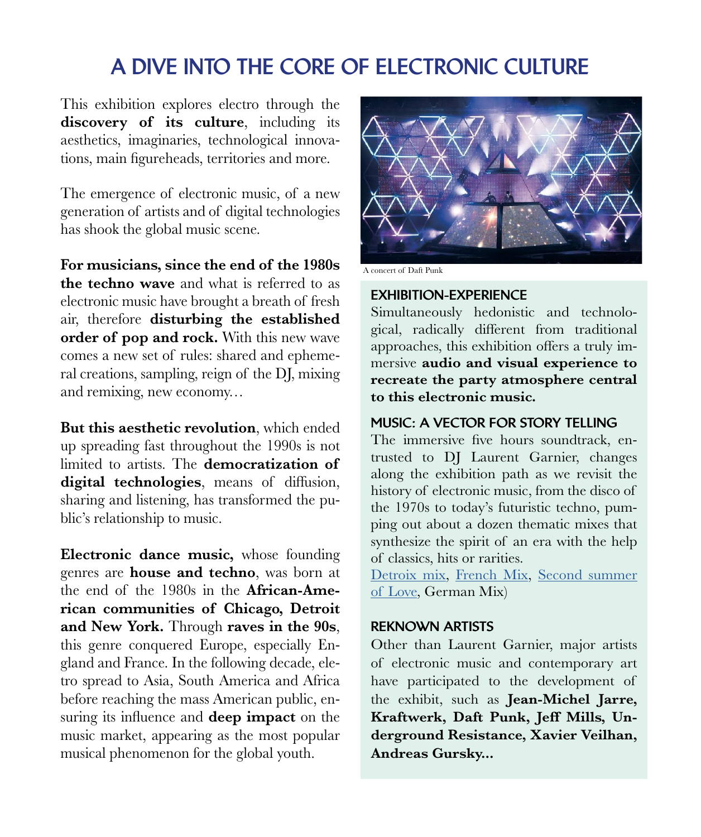# A DIVE INTO THE CORE OF ELECTRONIC CULTURE

This exhibition explores electro through the **discovery of its culture**, including its aesthetics, imaginaries, technological innovations, main figureheads, territories and more.

The emergence of electronic music, of a new generation of artists and of digital technologies has shook the global music scene.

**For musicians, since the end of the 1980s the techno wave** and what is referred to as electronic music have brought a breath of fresh air, therefore **disturbing the established order of pop and rock.** With this new wave comes a new set of rules: shared and ephemeral creations, sampling, reign of the DJ, mixing and remixing, new economy…

**But this aesthetic revolution**, which ended up spreading fast throughout the 1990s is not limited to artists. The **democratization of digital technologies**, means of diffusion, sharing and listening, has transformed the public's relationship to music.

**Electronic dance music,** whose founding genres are **house and techno**, was born at the end of the 1980s in the **African-American communities of Chicago, Detroit and New York.** Through **raves in the 90s**, this genre conquered Europe, especially England and France. In the following decade, eletro spread to Asia, South America and Africa before reaching the mass American public, ensuring its influence and **deep impact** on the music market, appearing as the most popular musical phenomenon for the global youth.



A concert of Daft Punk

### EXHIBITION-EXPERIENCE

Simultaneously hedonistic and technological, radically different from traditional approaches, this exhibition offers a truly immersive **audio and visual experience to recreate the party atmosphere central to this electronic music.**

#### MUSIC: A VECTOR FOR STORY TELLING

The immersive five hours soundtrack, entrusted to DJ Laurent Garnier, changes along the exhibition path as we revisit the history of electronic music, from the disco of the 1970s to today's futuristic techno, pumping out about a dozen thematic mixes that synthesize the spirit of an era with the help of classics, hits or rarities.

[Detroix mix,](http://youtu.be/tQbT_hxAD6Y) [French Mix](http://youtu.be/3h2TxMmM7-o), [Second summer](http://youtu.be/sUIjHKFqQT4)  [of Love,](http://youtu.be/sUIjHKFqQT4) German Mix)

### REKNOWN ARTISTS

Other than Laurent Garnier, major artists of electronic music and contemporary art have participated to the development of the exhibit, such as **Jean-Michel Jarre, Kraftwerk, Daft Punk, Jeff Mills, Underground Resistance, Xavier Veilhan, Andreas Gursky...**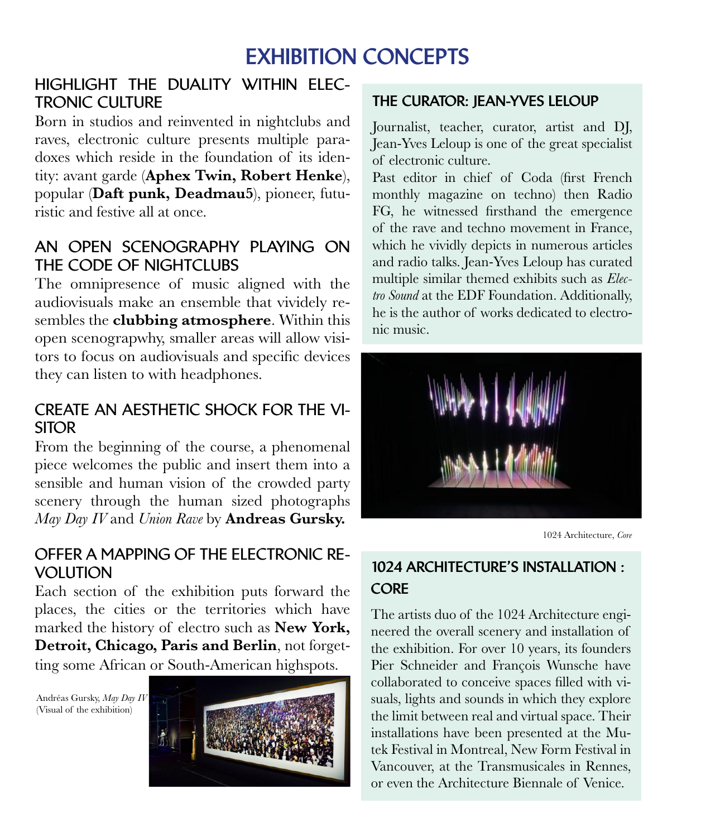# EXHIBITION CONCEPTS

# **HIGHLIGHT THE DUALITY WITHIN ELEC-TRONIC CULTURE**

Born in studios and reinvented in nightclubs and raves, electronic culture presents multiple paradoxes which reside in the foundation of its identity: avant garde (**Aphex Twin, Robert Henke**), popular (**Daft punk, Deadmau5**), pioneer, futuristic and festive all at once.

# **AN OPEN SCENOGRAPHY PLAYING ON THE CODE OF NIGHTCLUBS**

The omnipresence of music aligned with the audiovisuals make an ensemble that vividely resembles the **clubbing atmosphere**. Within this open scenograpwhy, smaller areas will allow visitors to focus on audiovisuals and specific devices they can listen to with headphones.

# **CREATE AN AESTHETIC SHOCK FOR THE VI-SITOR**

From the beginning of the course, a phenomenal piece welcomes the public and insert them into a sensible and human vision of the crowded party scenery through the human sized photographs *May Day IV* and *Union Rave* by **Andreas Gursky.**

# **OFFER A MAPPING OF THE ELECTRONIC RE-VOLUTION**

Each section of the exhibition puts forward the places, the cities or the territories which have marked the history of electro such as **New York, Detroit, Chicago, Paris and Berlin**, not forgetting some African or South-American highspots.

Andréas Gursky, *May Day IV*  (Visual of the exhibition)



# THE CURATOR: JEAN-YVES LELOUP

Journalist, teacher, curator, artist and DJ, Jean-Yves Leloup is one of the great specialist of electronic culture.

Past editor in chief of Coda (first French monthly magazine on techno) then Radio FG, he witnessed firsthand the emergence of the rave and techno movement in France, which he vividly depicts in numerous articles and radio talks. Jean-Yves Leloup has curated multiple similar themed exhibits such as *Electro Sound* at the EDF Foundation. Additionally, he is the author of works dedicated to electronic music.



1024 Architecture, *Core*

# 1024 ARCHITECTURE'S INSTALLATION : **CORE**

The artists duo of the 1024 Architecture engineered the overall scenery and installation of the exhibition. For over 10 years, its founders Pier Schneider and François Wunsche have collaborated to conceive spaces filled with visuals, lights and sounds in which they explore the limit between real and virtual space. Their installations have been presented at the Mutek Festival in Montreal, New Form Festival in Vancouver, at the Transmusicales in Rennes, or even the Architecture Biennale of Venice.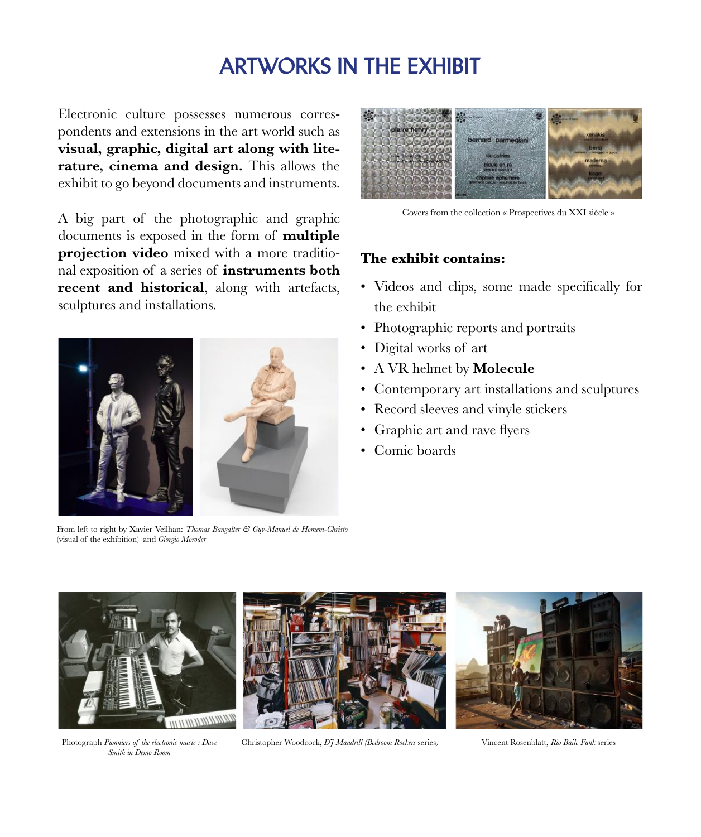# ARTWORKS IN THE EXHIBIT

Electronic culture possesses numerous correspondents and extensions in the art world such as **visual, graphic, digital art along with literature, cinema and design.** This allows the exhibit to go beyond documents and instruments.

A big part of the photographic and graphic documents is exposed in the form of **multiple projection video** mixed with a more traditional exposition of a series of **instruments both recent and historical**, along with artefacts, sculptures and installations.



From left to right by Xavier Veilhan: *Thomas Bangalter & Guy-Manuel de Homem-Christo*  (visual of the exhibition) and *Giorgio Moroder*



Covers from the collection « Prospectives du XXI siècle »

#### **The exhibit contains:**

- Videos and clips, some made specifically for the exhibit
- Photographic reports and portraits
- Digital works of art
- A VR helmet by **Molecule**
- Contemporary art installations and sculptures
- Record sleeves and vinyle stickers
- Graphic art and rave flyers
- Comic boards



*Smith in Demo Room*



Photograph *Pionniers of the electronic music : Dave* Christopher Woodcock, *DJ Mandrill (Bedroom Rockers* series) Vincent Rosenblatt, *Rio Baile Funk* series

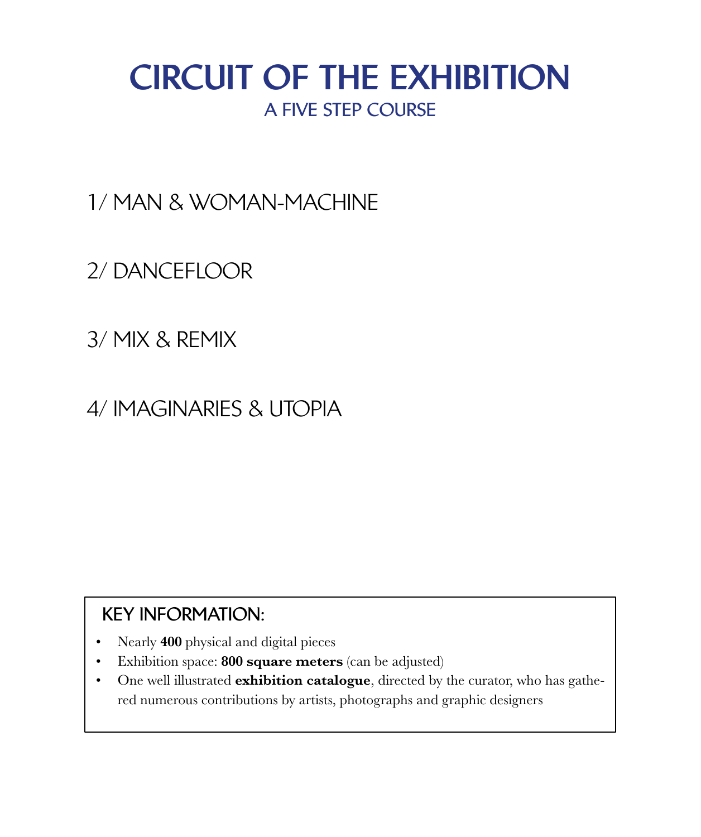# CIRCUIT OF THE EXHIBITION **A FIVE STEP COURSE**

1/ MAN & WOMAN-MACHINE

2/ DANCEFLOOR

3/ MIX & REMIX

4/ IMAGINARIES & UTOPIA

# **KEY INFORMATION:**

- Nearly **400** physical and digital pieces
- Exhibition space: **800 square meters** (can be adjusted)
- One well illustrated **exhibition catalogue**, directed by the curator, who has gathered numerous contributions by artists, photographs and graphic designers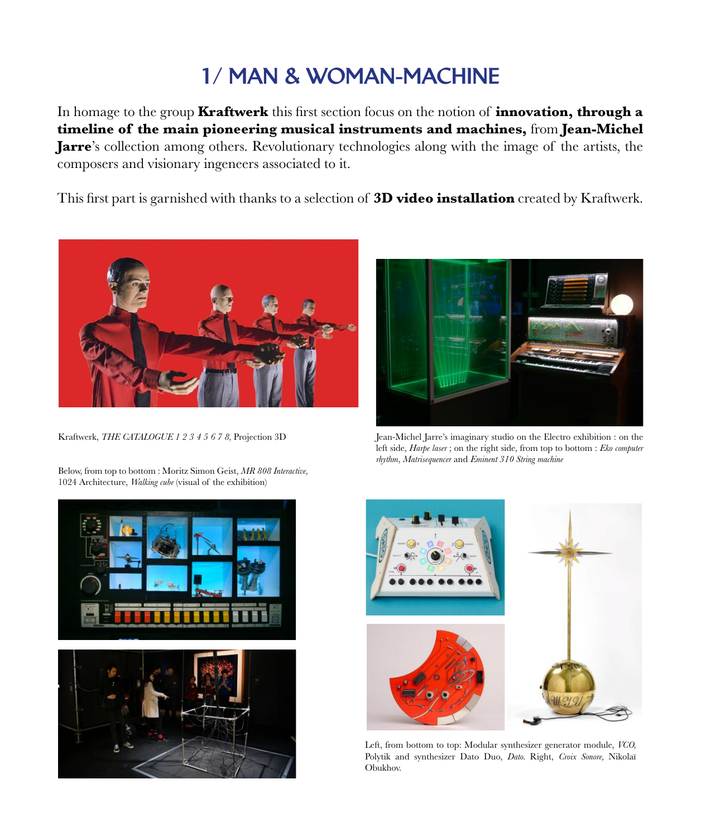# 1/ MAN & WOMAN-MACHINE

In homage to the group **Kraftwerk** this first section focus on the notion of **innovation, through a timeline of the main pioneering musical instruments and machines,** from **Jean-Michel Jarre**'s collection among others. Revolutionary technologies along with the image of the artists, the composers and visionary ingeneers associated to it.

This first part is garnished with thanks to a selection of **3D video installation** created by Kraftwerk.



Kraftwerk, *THE CATALOGUE 1 2 3 4 5 6 7 8,* Projection 3D

Below, from top to bottom : Moritz Simon Geist, *MR 808 Interactive,*  1024 Architecture, *Walking cube* (visual of the exhibition)





Jean-Michel Jarre's imaginary studio on the Electro exhibition : on the left side, *Harpe laser* ; on the right side, from top to bottom : *Eko computer rhythm*, *Matrisequencer* and *Eminent 310 String machine*



Left, from bottom to top: Modular synthesizer generator module, *VCO,* Polytik and synthesizer Dato Duo, *Dato.* Right, *Croix Sonore,* Nikolaï Obukhov.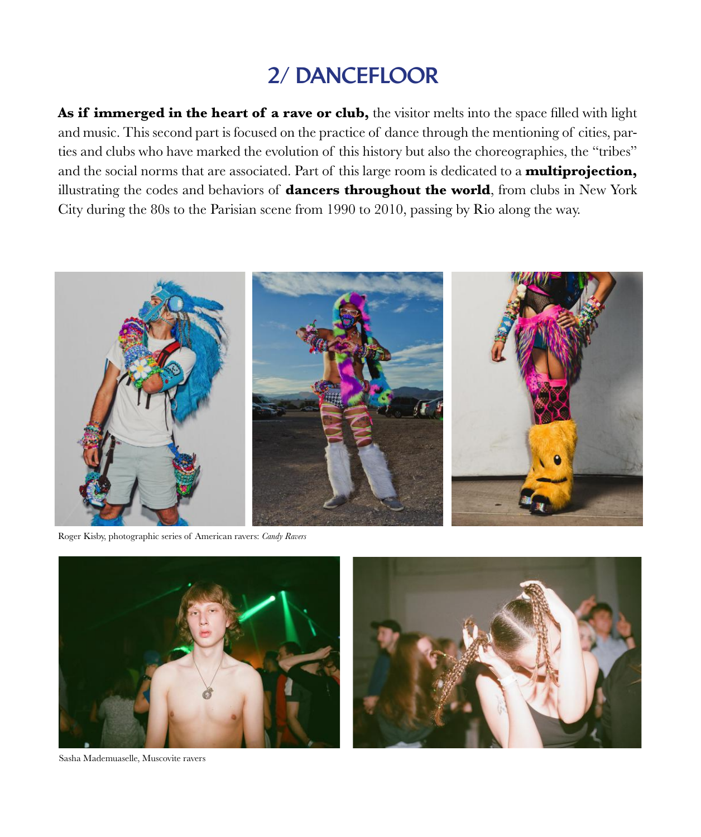# 2/ DANCEFLOOR

**As if immerged in the heart of a rave or club,** the visitor melts into the space filled with light and music. This second part is focused on the practice of dance through the mentioning of cities, parties and clubs who have marked the evolution of this history but also the choreographies, the "tribes" and the social norms that are associated. Part of this large room is dedicated to a **multiprojection,** illustrating the codes and behaviors of **dancers throughout the world**, from clubs in New York City during the 80s to the Parisian scene from 1990 to 2010, passing by Rio along the way.



Roger Kisby, photographic series of American ravers: *Candy Ravers*





Sasha Mademuaselle, Muscovite ravers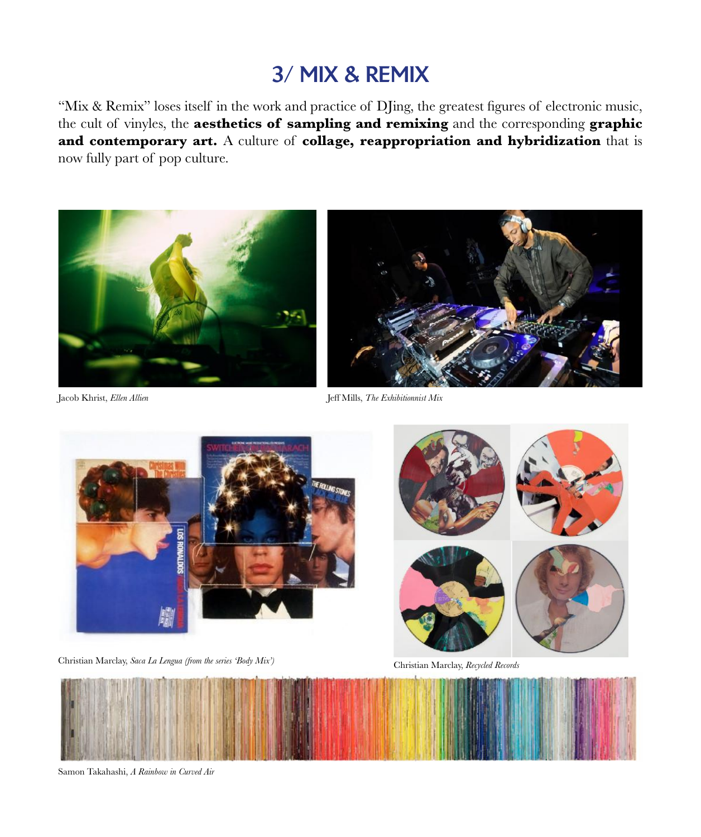# 3/ MIX & REMIX

"Mix & Remix" loses itself in the work and practice of DJing, the greatest figures of electronic music, the cult of vinyles, the **aesthetics of sampling and remixing** and the corresponding **graphic and contemporary art.** A culture of **collage, reappropriation and hybridization** that is now fully part of pop culture.



Jacob Khrist, *Ellen Allien* Jeff Mills, *The Exhibitionnist Mix*



Christian Marclay, *Saca La Lengua (from the series 'Body Mix')*



Christian Marclay, *Recycled Records*



Samon Takahashi, *A Rainbow in Curved Air*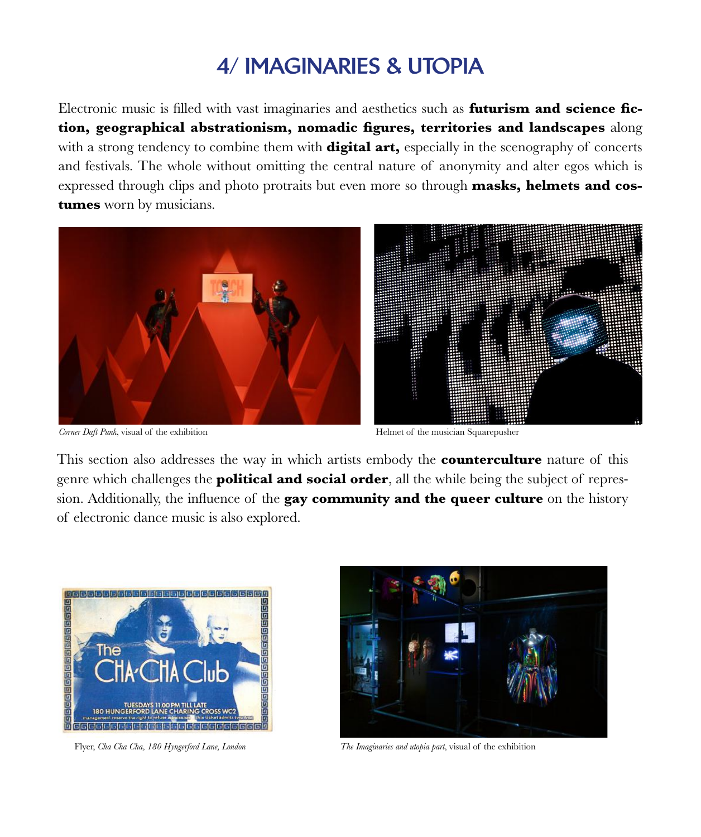# 4/ IMAGINARIES & UTOPIA

Electronic music is filled with vast imaginaries and aesthetics such as **futurism and science fiction, geographical abstrationism, nomadic figures, territories and landscapes** along with a strong tendency to combine them with **digital art**, especially in the scenography of concerts and festivals. The whole without omitting the central nature of anonymity and alter egos which is expressed through clips and photo protraits but even more so through **masks, helmets and costumes** worn by musicians.



*Corner Daft Punk*, visual of the exhibition **Helmet of the musician Squarepusher** 



This section also addresses the way in which artists embody the **counterculture** nature of this genre which challenges the **political and social order**, all the while being the subject of repression. Additionally, the influence of the **gay community and the queer culture** on the history of electronic dance music is also explored.





Flyer, *Cha Cha Cha, 180 Hyngerford Lane, London The Imaginaries and utopia part*, visual of the exhibition